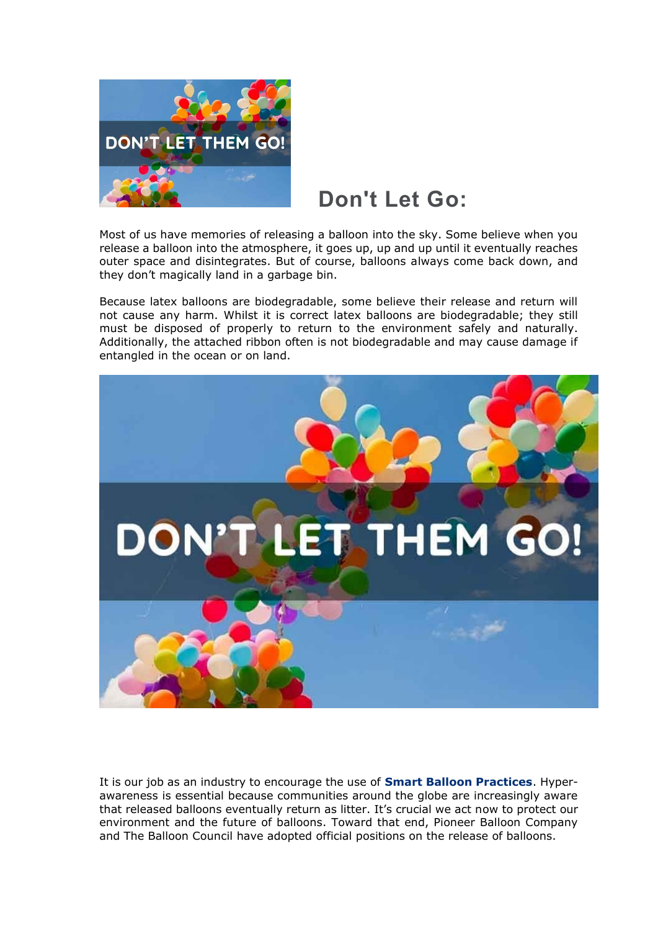

# **Don't Let Go:**

Most of us have memories of releasing a balloon into the sky. Some believe when you release a balloon into the atmosphere, it goes up, up and up until it eventually reaches outer space and disintegrates. But of course, balloons always come back down, and they don't magically land in a garbage bin.

Because latex balloons are biodegradable, some believe their release and return will not cause any harm. Whilst it is correct latex balloons are biodegradable; they still must be disposed of properly to return to the environment safely and naturally. Additionally, the attached ribbon often is not biodegradable and may cause damage if entangled in the ocean or on land.



It is our job as an industry to encourage the use of **[Smart Balloon Practices](http://www.theballooncouncil.org/smart-balloon-practices/)**. Hyperawareness is essential because communities around the globe are increasingly aware that released balloons eventually return as litter. It's crucial we act now to protect our environment and the future of balloons. Toward that end, Pioneer Balloon Company and The Balloon Council have adopted official positions on the release of balloons.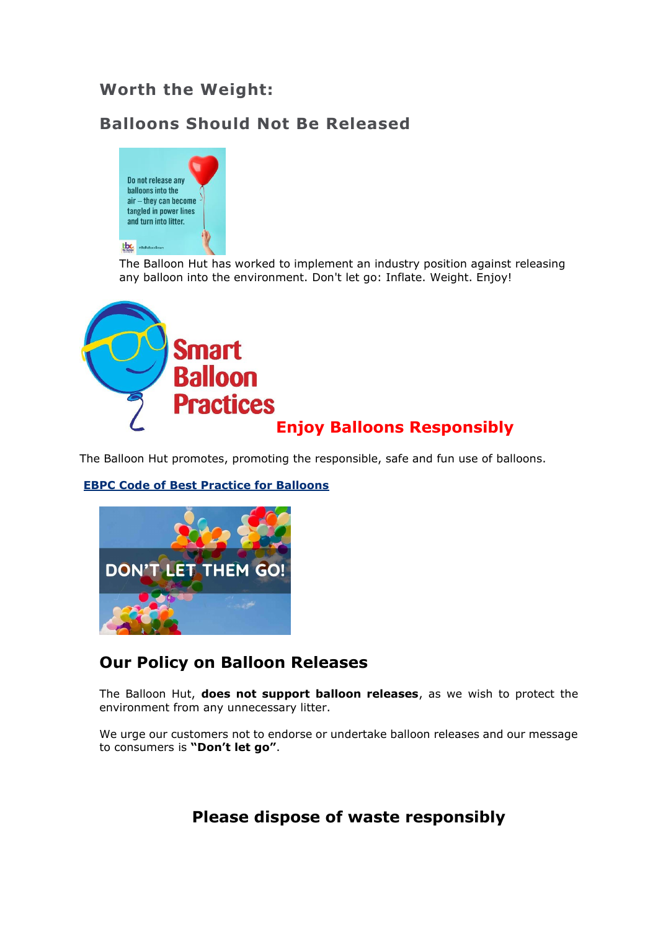#### **Worth the Weight:**

#### **Balloons Should Not Be Released**



The Balloon Hut has worked to implement an industry position against releasing any balloon into the environment. Don't let go: Inflate. Weight. Enjoy!



The Balloon Hut promotes, promoting the responsible, safe and fun use of balloons.



#### **[EBPC Code of Best Practice for Balloons](https://ebpcouncil.eu/the-framework/consumers)**

#### **Our Policy on Balloon Releases**

The Balloon Hut, **does not support balloon releases**, as we wish to protect the environment from any unnecessary litter.

We urge our customers not to endorse or undertake balloon releases and our message to consumers is **"Don't let go"**.

#### **Please dispose of waste responsibly**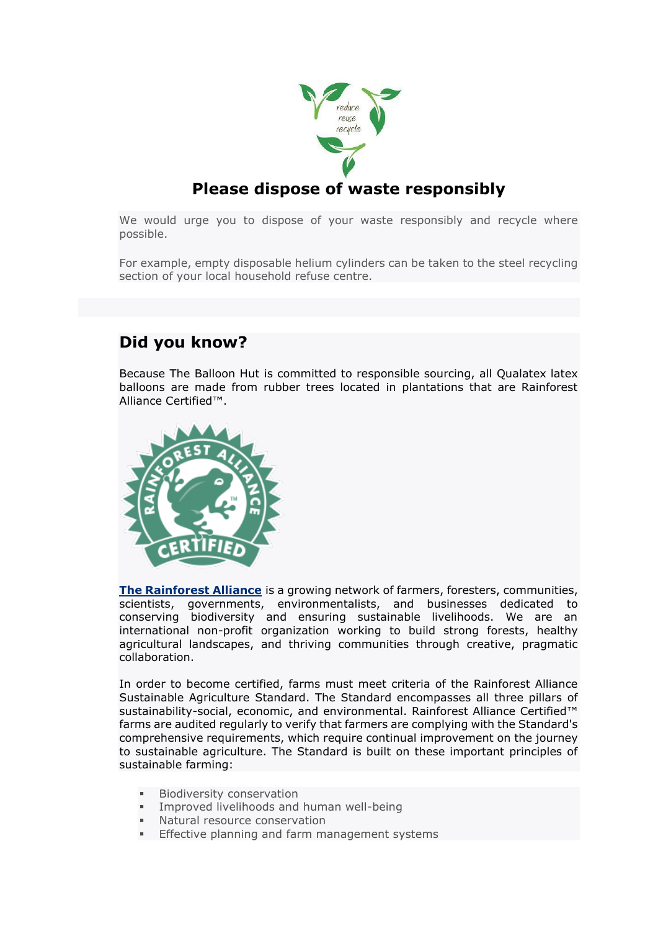

#### **Please dispose of waste responsibly**

We would urge you to dispose of your waste responsibly and recycle where possible.

For example, empty disposable helium cylinders can be taken to the steel recycling section of your local household refuse centre.

#### **Did you know?**

Because The Balloon Hut is committed to responsible sourcing, all Qualatex latex balloons are made from rubber trees located in plantations that are Rainforest Alliance Certified™.



**[The Rainforest Alliance](https://www.rainforest-alliance.org/)** is a growing network of farmers, foresters, communities, scientists, governments, environmentalists, and businesses dedicated to conserving biodiversity and ensuring sustainable livelihoods. We are an international non-profit organization working to build strong forests, healthy agricultural landscapes, and thriving communities through creative, pragmatic collaboration.

In order to become certified, farms must meet criteria of the Rainforest Alliance Sustainable Agriculture Standard. The Standard encompasses all three pillars of sustainability-social, economic, and environmental. Rainforest Alliance Certified™ farms are audited regularly to verify that farmers are complying with the Standard's comprehensive requirements, which require continual improvement on the journey to sustainable agriculture. The Standard is built on these important principles of sustainable farming:

- Biodiversity conservation
- Improved livelihoods and human well-being
- Natural resource conservation
- **Effective planning and farm management systems**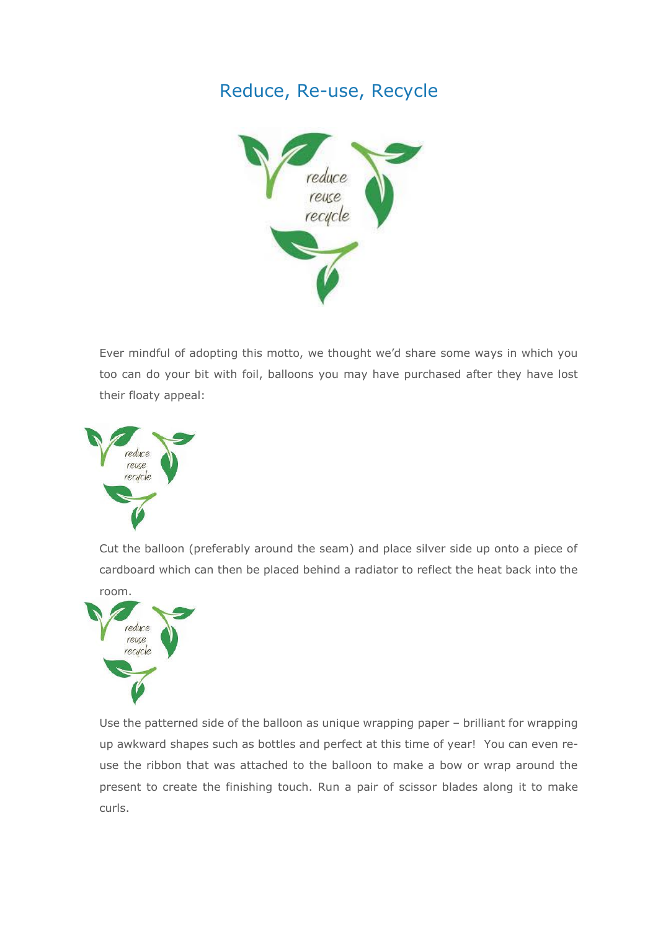### Reduce, Re-use, Recycle



Ever mindful of adopting this motto, we thought we'd share some ways in which you too can do your bit with foil, balloons you may have purchased after they have lost their floaty appeal:



Cut the balloon (preferably around the seam) and place silver side up onto a piece of cardboard which can then be placed behind a radiator to reflect the heat back into the



Use the patterned side of the balloon as unique wrapping paper – brilliant for wrapping up awkward shapes such as bottles and perfect at this time of year! You can even reuse the ribbon that was attached to the balloon to make a bow or wrap around the present to create the finishing touch. Run a pair of scissor blades along it to make curls.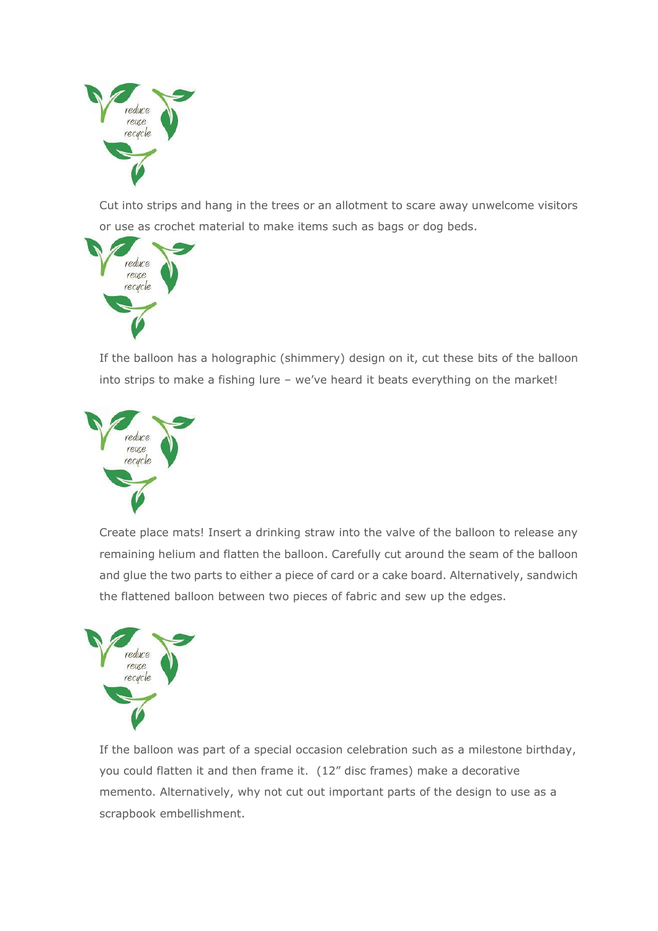

Cut into strips and hang in the trees or an allotment to scare away unwelcome visitors or use as crochet material to make items such as bags or dog beds.



If the balloon has a holographic (shimmery) design on it, cut these bits of the balloon into strips to make a fishing lure – we've heard it beats everything on the market!



Create place mats! Insert a drinking straw into the valve of the balloon to release any remaining helium and flatten the balloon. Carefully cut around the seam of the balloon and glue the two parts to either a piece of card or a cake board. Alternatively, sandwich the flattened balloon between two pieces of fabric and sew up the edges.



If the balloon was part of a special occasion celebration such as a milestone birthday, you could flatten it and then frame it. (12" disc frames) make a decorative memento. Alternatively, why not cut out important parts of the design to use as a scrapbook embellishment.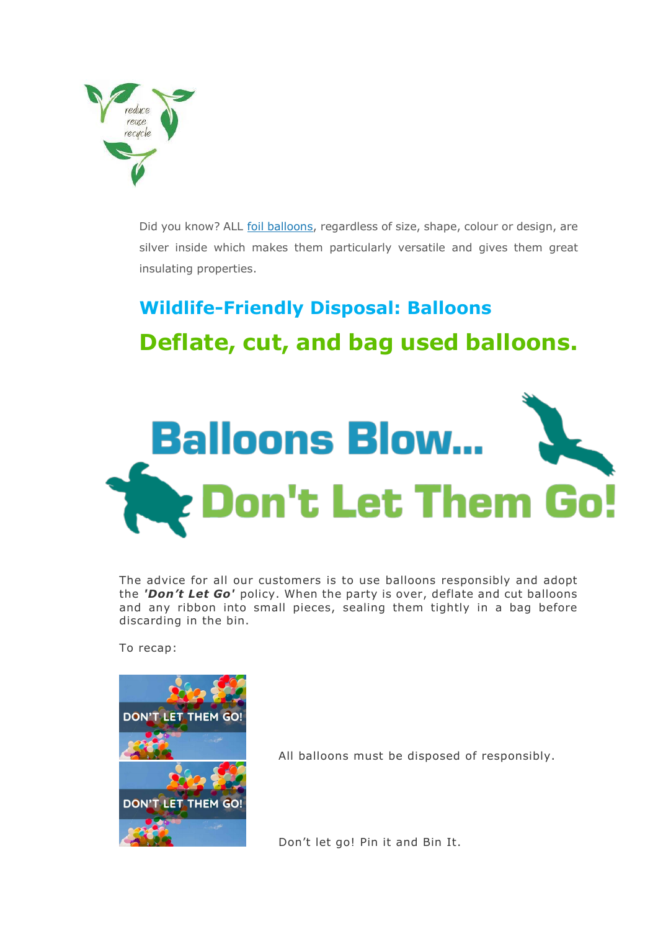

Did you know? ALL [foil balloons,](http://www.signatureballoons.co.uk/balloons/category-page?SS_ID=74) regardless of size, shape, colour or design, are silver inside which makes them particularly versatile and gives them great insulating properties.

# **Wildlife-Friendly Disposal: Balloons Deflate, cut, and bag used balloons.**



The advice for all our customers is to use balloons responsibly and adopt the *'Don't Let Go'* policy. When the party is over, deflate and cut balloons and any ribbon into small pieces, sealing them tightly in a bag before discarding in the bin.

To recap:



All balloons must be disposed of responsibly.

Don't let go! Pin it and Bin It.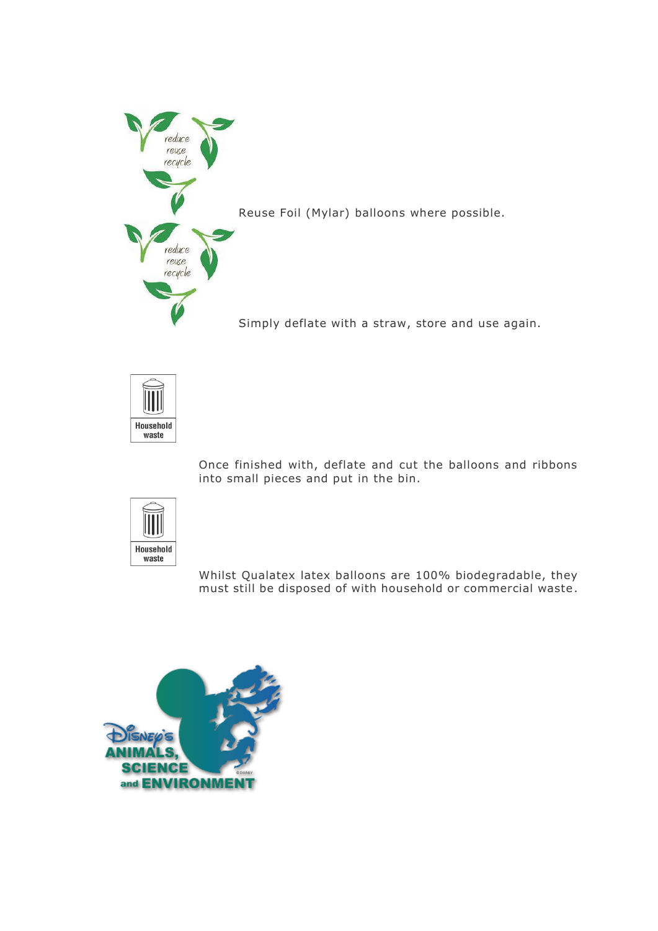

Simply deflate with a straw, store and use again.



Once finished with, deflate and cut the balloons and ribbons into small pieces and put in the bin.



Whilst Qualatex latex balloons are 100% biodegradable, they must still be disposed of with household or commercial waste.

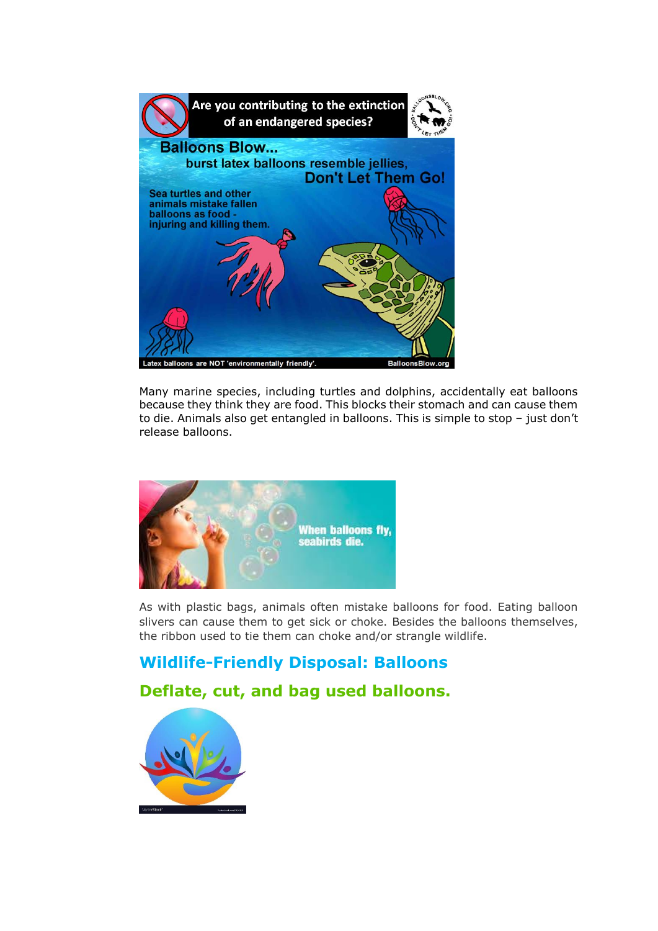

Many marine species, including turtles and dolphins, accidentally eat balloons because they think they are food. This blocks their stomach and can cause them to die. Animals also get entangled in balloons. This is simple to stop – just don't release balloons.



As with plastic bags, animals often mistake balloons for food. Eating balloon slivers can cause them to get sick or choke. Besides the balloons themselves, the ribbon used to tie them can choke and/or strangle wildlife.

#### **Wildlife-Friendly Disposal: Balloons**

#### **Deflate, cut, and bag used balloons.**